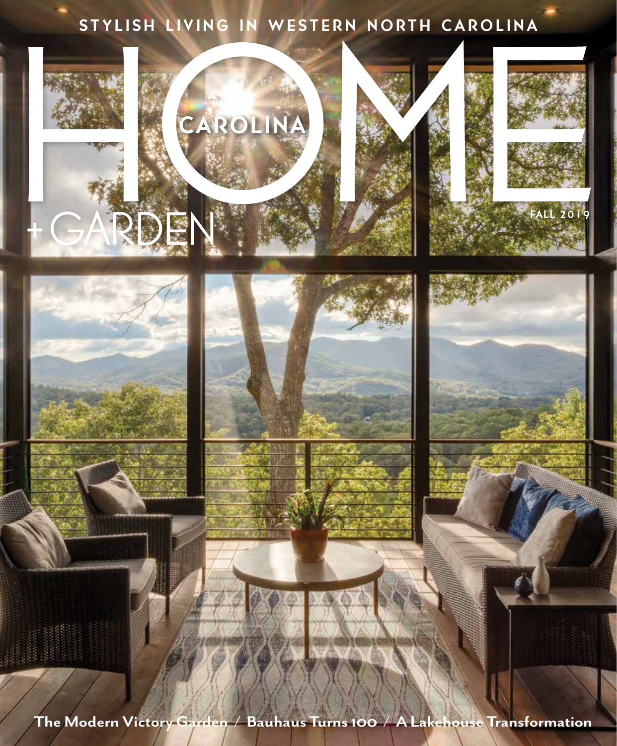## STYLISH LIVING IN WESTERN NORTH CAROLINA



**The Modern Victory Garden / Bauhaus Turns 100 / A Lakehouse Transformation**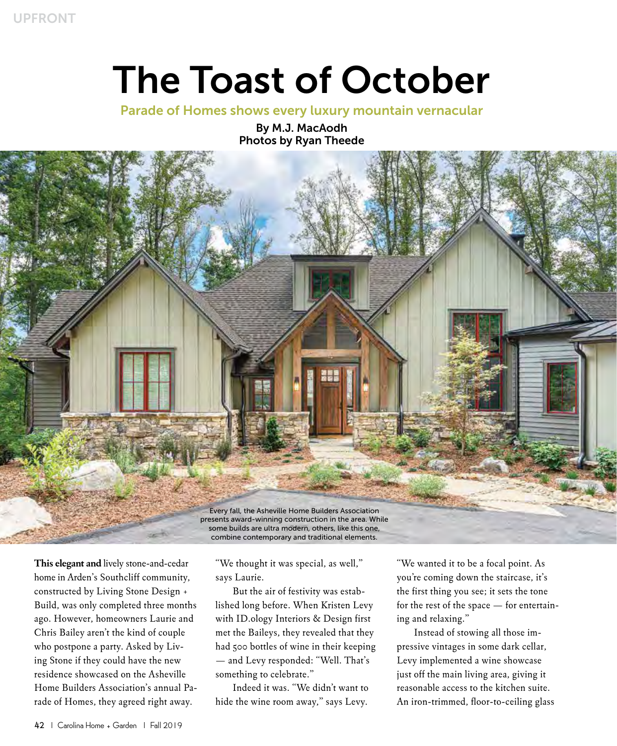## The Toast of October

Parade of Homes shows every luxury mountain vernacular

By M.J. MacAodh Photos by Ryan Theede



**This elegant and** lively stone-and-cedar home in Arden's Southcliff community, constructed by Living Stone Design + Build, was only completed three months ago. However, homeowners Laurie and Chris Bailey aren't the kind of couple who postpone a party. Asked by Living Stone if they could have the new residence showcased on the Asheville Home Builders Association's annual Parade of Homes, they agreed right away.

"We thought it was special, as well," says Laurie.

But the air of festivity was established long before. When Kristen Levy with ID.ology Interiors & Design first met the Baileys, they revealed that they had 500 bottles of wine in their keeping — and Levy responded: "Well. That's something to celebrate."

Indeed it was. "We didn't want to hide the wine room away," says Levy.

"We wanted it to be a focal point. As you're coming down the staircase, it's the first thing you see; it sets the tone for the rest of the space — for entertaining and relaxing."

Instead of stowing all those impressive vintages in some dark cellar, Levy implemented a wine showcase just off the main living area, giving it reasonable access to the kitchen suite. An iron-trimmed, floor-to-ceiling glass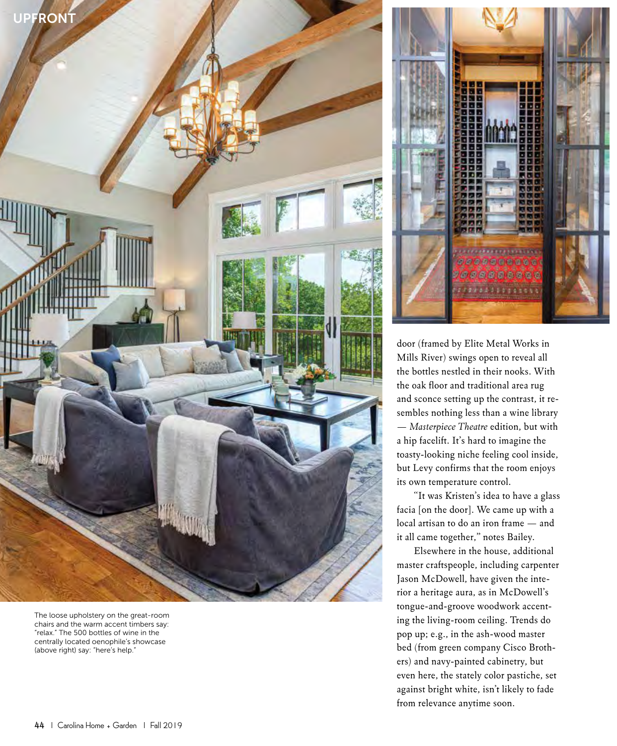

The loose upholstery on the great-room chairs and the warm accent timbers say: "relax." The 500 bottles of wine in the centrally located oenophile's showcase (above right) say: "here's help."



door (framed by Elite Metal Works in Mills River) swings open to reveal all the bottles nestled in their nooks. With the oak floor and traditional area rug and sconce setting up the contrast, it resembles nothing less than a wine library — *Masterpiece Theatre* edition, but with a hip facelift. It's hard to imagine the toasty-looking niche feeling cool inside, but Levy confirms that the room enjoys its own temperature control.

"It was Kristen's idea to have a glass facia [on the door]. We came up with a local artisan to do an iron frame — and it all came together," notes Bailey.

Elsewhere in the house, additional master craftspeople, including carpenter Jason McDowell, have given the interior a heritage aura, as in McDowell's tongue-and-groove woodwork accenting the living-room ceiling. Trends do pop up; e.g., in the ash-wood master bed (from green company Cisco Brothers) and navy-painted cabinetry, but even here, the stately color pastiche, set against bright white, isn't likely to fade from relevance anytime soon.